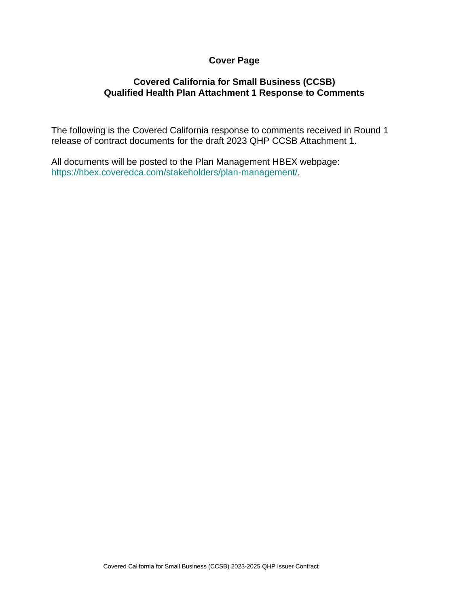# **Cover Page**

### **Covered California for Small Business (CCSB) Qualified Health Plan Attachment 1 Response to Comments**

The following is the Covered California response to comments received in Round 1 release of contract documents for the draft 2023 QHP CCSB Attachment 1.

All documents will be posted to the Plan Management HBEX webpage: https://hbex.coveredca.com/stakeholders/plan-management/.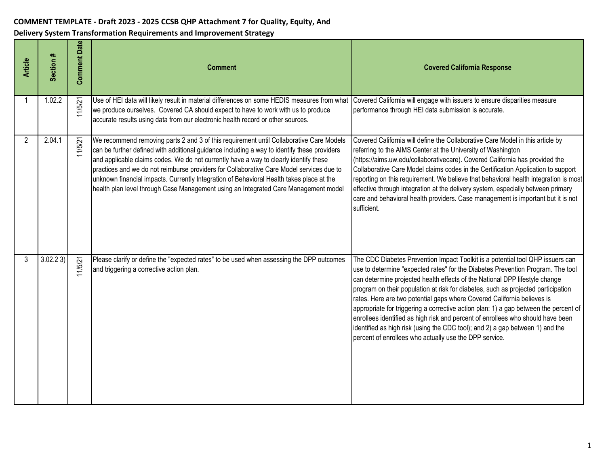### **COMMENT TEMPLATE - Draft 2023 - 2025 CCSB QHP Attachment 7 for Quality, Equity, And**

#### **Delivery System Transformation Requirements and Improvement Strategy**

| <b>Article</b> | Section # | <b>Comment Date</b> | <b>Comment</b>                                                                                                                                                                                                                                                                                                                                                                                                                                                                                                                                                 | <b>Covered California Response</b>                                                                                                                                                                                                                                                                                                                                                                                                                                                                                                                                                                                                                                                                                                     |
|----------------|-----------|---------------------|----------------------------------------------------------------------------------------------------------------------------------------------------------------------------------------------------------------------------------------------------------------------------------------------------------------------------------------------------------------------------------------------------------------------------------------------------------------------------------------------------------------------------------------------------------------|----------------------------------------------------------------------------------------------------------------------------------------------------------------------------------------------------------------------------------------------------------------------------------------------------------------------------------------------------------------------------------------------------------------------------------------------------------------------------------------------------------------------------------------------------------------------------------------------------------------------------------------------------------------------------------------------------------------------------------------|
|                | 1.02.2    | 11/5/21             | Use of HEI data will likely result in material differences on some HEDIS measures from what<br>we produce ourselves. Covered CA should expect to have to work with us to produce<br>accurate results using data from our electronic health record or other sources.                                                                                                                                                                                                                                                                                            | Covered California will engage with issuers to ensure disparities measure<br>performance through HEI data submission is accurate.                                                                                                                                                                                                                                                                                                                                                                                                                                                                                                                                                                                                      |
| $\overline{2}$ | 2.04.1    | 11/5/21             | We recommend removing parts 2 and 3 of this requirement until Collaborative Care Models<br>can be further defined with additional guidance including a way to identify these providers<br>and applicable claims codes. We do not currently have a way to clearly identify these<br>practices and we do not reimburse providers for Collaborative Care Model services due to<br>unknown financial impacts. Currently Integration of Behavioral Health takes place at the<br>health plan level through Case Management using an Integrated Care Management model | Covered California will define the Collaborative Care Model in this article by<br>referring to the AIMS Center at the University of Washington<br>(https://aims.uw.edu/collaborativecare). Covered California has provided the<br>Collaborative Care Model claims codes in the Certification Application to support<br>reporting on this requirement. We believe that behavioral health integration is most<br>effective through integration at the delivery system, especially between primary<br>care and behavioral health providers. Case management is important but it is not<br>sufficient.                                                                                                                                     |
| 3              | 3.02.23   | 11/5/21             | Please clarify or define the "expected rates" to be used when assessing the DPP outcomes<br>and triggering a corrective action plan.                                                                                                                                                                                                                                                                                                                                                                                                                           | The CDC Diabetes Prevention Impact Toolkit is a potential tool QHP issuers can<br>use to determine "expected rates" for the Diabetes Prevention Program. The tool<br>can determine projected health effects of the National DPP lifestyle change<br>program on their population at risk for diabetes, such as projected participation<br>rates. Here are two potential gaps where Covered California believes is<br>appropriate for triggering a corrective action plan: 1) a gap between the percent of<br>enrollees identified as high risk and percent of enrollees who should have been<br>identified as high risk (using the CDC tool); and 2) a gap between 1) and the<br>percent of enrollees who actually use the DPP service. |